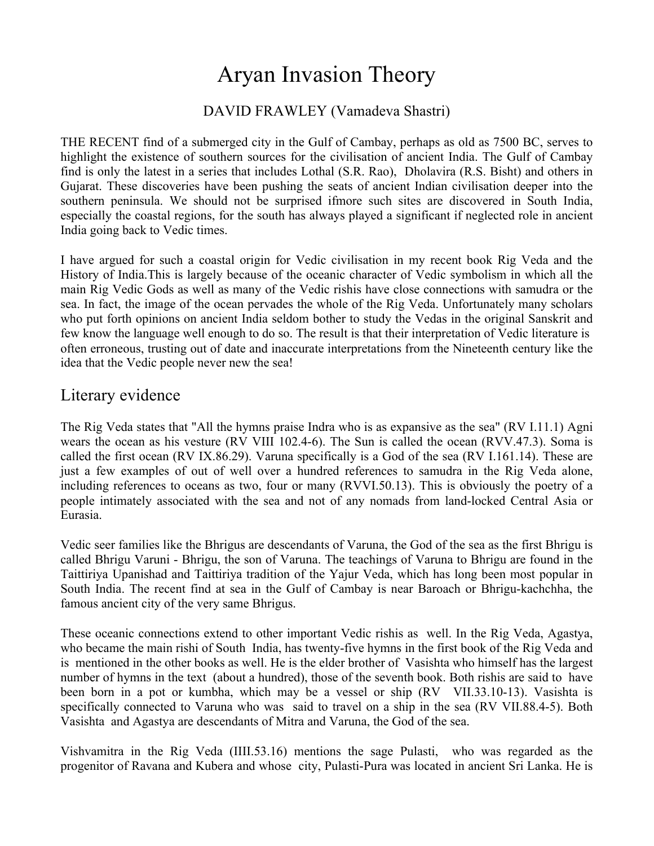# Aryan Invasion Theory

### DAVID FRAWLEY (Vamadeva Shastri)

THE RECENT find of a submerged city in the Gulf of Cambay, perhaps as old as 7500 BC, serves to highlight the existence of southern sources for the civilisation of ancient India. The Gulf of Cambay find is only the latest in a series that includes Lothal (S.R. Rao), Dholavira (R.S. Bisht) and others in Gujarat. These discoveries have been pushing the seats of ancient Indian civilisation deeper into the southern peninsula. We should not be surprised ifmore such sites are discovered in South India, especially the coastal regions, for the south has always played a significant if neglected role in ancient India going back to Vedic times.

I have argued for such a coastal origin for Vedic civilisation in my recent book Rig Veda and the History of India.This is largely because of the oceanic character of Vedic symbolism in which all the main Rig Vedic Gods as well as many of the Vedic rishis have close connections with samudra or the sea. In fact, the image of the ocean pervades the whole of the Rig Veda. Unfortunately many scholars who put forth opinions on ancient India seldom bother to study the Vedas in the original Sanskrit and few know the language well enough to do so. The result is that their interpretation of Vedic literature is often erroneous, trusting out of date and inaccurate interpretations from the Nineteenth century like the idea that the Vedic people never new the sea!

## Literary evidence

The Rig Veda states that "All the hymns praise Indra who is as expansive as the sea" (RV I.11.1) Agni wears the ocean as his vesture (RV VIII 102.4-6). The Sun is called the ocean (RVV.47.3). Soma is called the first ocean (RV IX.86.29). Varuna specifically is a God of the sea (RV I.161.14). These are just a few examples of out of well over a hundred references to samudra in the Rig Veda alone, including references to oceans as two, four or many (RVVI.50.13). This is obviously the poetry of a people intimately associated with the sea and not of any nomads from land-locked Central Asia or Eurasia.

Vedic seer families like the Bhrigus are descendants of Varuna, the God of the sea as the first Bhrigu is called Bhrigu Varuni - Bhrigu, the son of Varuna. The teachings of Varuna to Bhrigu are found in the Taittiriya Upanishad and Taittiriya tradition of the Yajur Veda, which has long been most popular in South India. The recent find at sea in the Gulf of Cambay is near Baroach or Bhrigu-kachchha, the famous ancient city of the very same Bhrigus.

These oceanic connections extend to other important Vedic rishis as well. In the Rig Veda, Agastya, who became the main rishi of South India, has twenty-five hymns in the first book of the Rig Veda and is mentioned in the other books as well. He is the elder brother of Vasishta who himself has the largest number of hymns in the text (about a hundred), those of the seventh book. Both rishis are said to have been born in a pot or kumbha, which may be a vessel or ship (RV VII.33.10-13). Vasishta is specifically connected to Varuna who was said to travel on a ship in the sea (RV VII.88.4-5). Both Vasishta and Agastya are descendants of Mitra and Varuna, the God of the sea.

Vishvamitra in the Rig Veda (IIII.53.16) mentions the sage Pulasti, who was regarded as the progenitor of Ravana and Kubera and whose city, Pulasti-Pura was located in ancient Sri Lanka. He is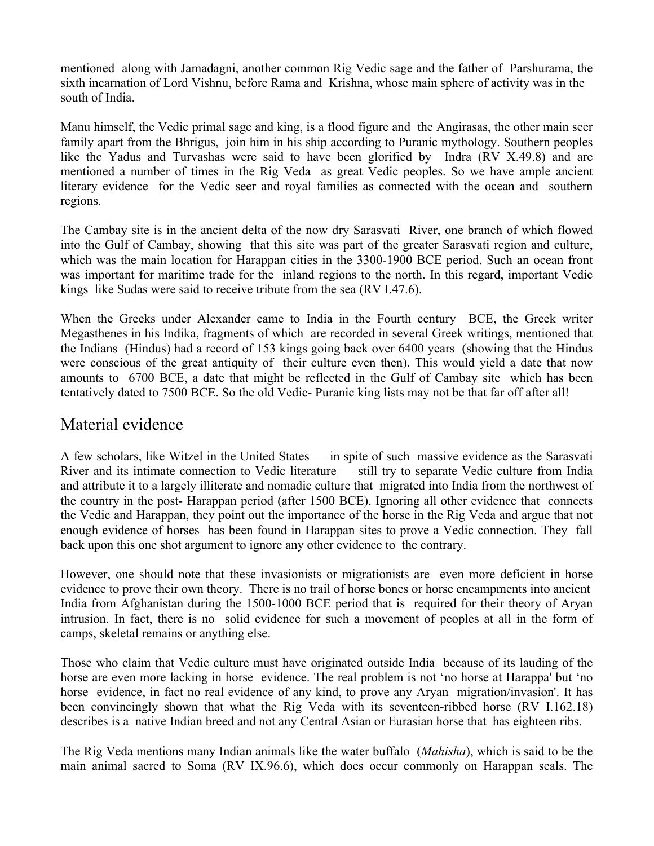mentioned along with Jamadagni, another common Rig Vedic sage and the father of Parshurama, the sixth incarnation of Lord Vishnu, before Rama and Krishna, whose main sphere of activity was in the south of India.

Manu himself, the Vedic primal sage and king, is a flood figure and the Angirasas, the other main seer family apart from the Bhrigus, join him in his ship according to Puranic mythology. Southern peoples like the Yadus and Turvashas were said to have been glorified by Indra (RV X.49.8) and are mentioned a number of times in the Rig Veda as great Vedic peoples. So we have ample ancient literary evidence for the Vedic seer and royal families as connected with the ocean and southern regions.

The Cambay site is in the ancient delta of the now dry Sarasvati River, one branch of which flowed into the Gulf of Cambay, showing that this site was part of the greater Sarasvati region and culture, which was the main location for Harappan cities in the 3300-1900 BCE period. Such an ocean front was important for maritime trade for the inland regions to the north. In this regard, important Vedic kings like Sudas were said to receive tribute from the sea (RV I.47.6).

When the Greeks under Alexander came to India in the Fourth century BCE, the Greek writer Megasthenes in his Indika, fragments of which are recorded in several Greek writings, mentioned that the Indians (Hindus) had a record of 153 kings going back over 6400 years (showing that the Hindus were conscious of the great antiquity of their culture even then). This would yield a date that now amounts to 6700 BCE, a date that might be reflected in the Gulf of Cambay site which has been tentatively dated to 7500 BCE. So the old Vedic- Puranic king lists may not be that far off after all!

## Material evidence

A few scholars, like Witzel in the United States — in spite of such massive evidence as the Sarasvati River and its intimate connection to Vedic literature — still try to separate Vedic culture from India and attribute it to a largely illiterate and nomadic culture that migrated into India from the northwest of the country in the post- Harappan period (after 1500 BCE). Ignoring all other evidence that connects the Vedic and Harappan, they point out the importance of the horse in the Rig Veda and argue that not enough evidence of horses has been found in Harappan sites to prove a Vedic connection. They fall back upon this one shot argument to ignore any other evidence to the contrary.

However, one should note that these invasionists or migrationists are even more deficient in horse evidence to prove their own theory. There is no trail of horse bones or horse encampments into ancient India from Afghanistan during the 1500-1000 BCE period that is required for their theory of Aryan intrusion. In fact, there is no solid evidence for such a movement of peoples at all in the form of camps, skeletal remains or anything else.

Those who claim that Vedic culture must have originated outside India because of its lauding of the horse are even more lacking in horse evidence. The real problem is not 'no horse at Harappa' but 'no horse evidence, in fact no real evidence of any kind, to prove any Aryan migration/invasion'. It has been convincingly shown that what the Rig Veda with its seventeen-ribbed horse (RV I.162.18) describes is a native Indian breed and not any Central Asian or Eurasian horse that has eighteen ribs.

The Rig Veda mentions many Indian animals like the water buffalo (*Mahisha*), which is said to be the main animal sacred to Soma (RV IX.96.6), which does occur commonly on Harappan seals. The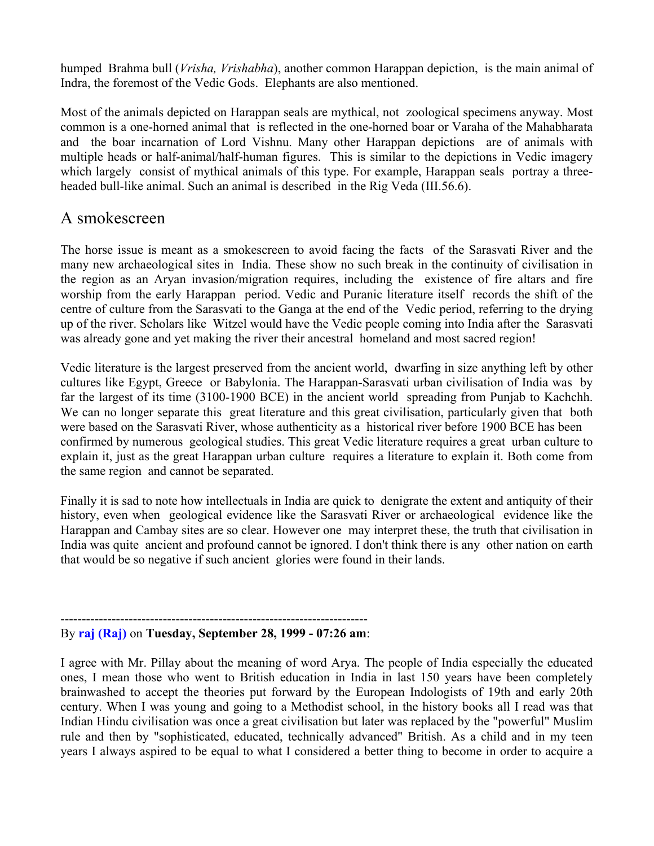humped Brahma bull (*Vrisha, Vrishabha*), another common Harappan depiction, is the main animal of Indra, the foremost of the Vedic Gods. Elephants are also mentioned.

Most of the animals depicted on Harappan seals are mythical, not zoological specimens anyway. Most common is a one-horned animal that is reflected in the one-horned boar or Varaha of the Mahabharata and the boar incarnation of Lord Vishnu. Many other Harappan depictions are of animals with multiple heads or half-animal/half-human figures. This is similar to the depictions in Vedic imagery which largely consist of mythical animals of this type. For example, Harappan seals portray a threeheaded bull-like animal. Such an animal is described in the Rig Veda (III.56.6).

#### A smokescreen

The horse issue is meant as a smokescreen to avoid facing the facts of the Sarasvati River and the many new archaeological sites in India. These show no such break in the continuity of civilisation in the region as an Aryan invasion/migration requires, including the existence of fire altars and fire worship from the early Harappan period. Vedic and Puranic literature itself records the shift of the centre of culture from the Sarasvati to the Ganga at the end of the Vedic period, referring to the drying up of the river. Scholars like Witzel would have the Vedic people coming into India after the Sarasvati was already gone and yet making the river their ancestral homeland and most sacred region!

Vedic literature is the largest preserved from the ancient world, dwarfing in size anything left by other cultures like Egypt, Greece or Babylonia. The Harappan-Sarasvati urban civilisation of India was by far the largest of its time (3100-1900 BCE) in the ancient world spreading from Punjab to Kachchh. We can no longer separate this great literature and this great civilisation, particularly given that both were based on the Sarasvati River, whose authenticity as a historical river before 1900 BCE has been confirmed by numerous geological studies. This great Vedic literature requires a great urban culture to explain it, just as the great Harappan urban culture requires a literature to explain it. Both come from the same region and cannot be separated.

Finally it is sad to note how intellectuals in India are quick to denigrate the extent and antiquity of their history, even when geological evidence like the Sarasvati River or archaeological evidence like the Harappan and Cambay sites are so clear. However one may interpret these, the truth that civilisation in India was quite ancient and profound cannot be ignored. I don't think there is any other nation on earth that would be so negative if such ancient glories were found in their lands.

#### ------------------------------------------------------------------------ By **raj (Raj)** on **Tuesday, September 28, 1999 - 07:26 am**:

I agree with Mr. Pillay about the meaning of word Arya. The people of India especially the educated ones, I mean those who went to British education in India in last 150 years have been completely brainwashed to accept the theories put forward by the European Indologists of 19th and early 20th century. When I was young and going to a Methodist school, in the history books all I read was that Indian Hindu civilisation was once a great civilisation but later was replaced by the "powerful" Muslim rule and then by "sophisticated, educated, technically advanced" British. As a child and in my teen years I always aspired to be equal to what I considered a better thing to become in order to acquire a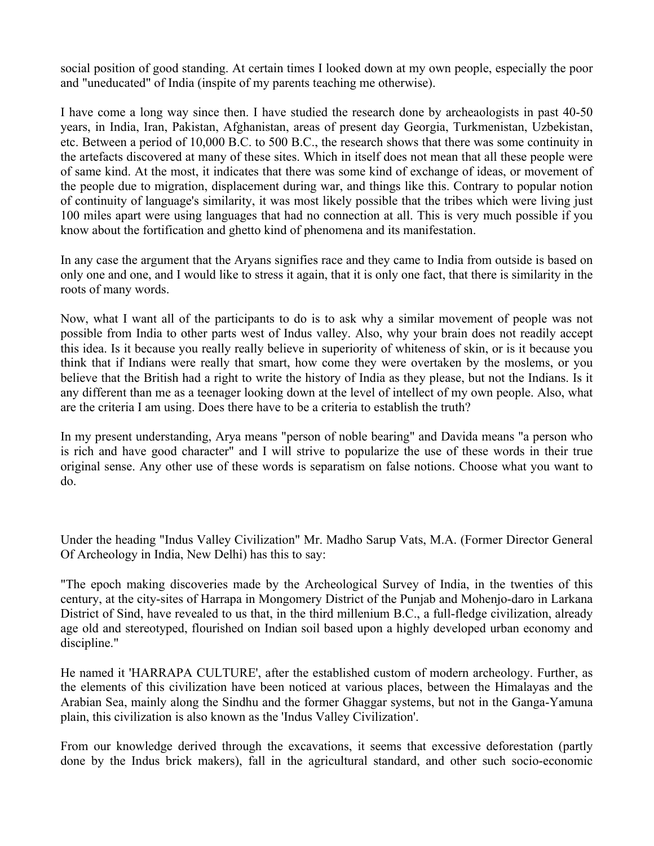social position of good standing. At certain times I looked down at my own people, especially the poor and "uneducated" of India (inspite of my parents teaching me otherwise).

I have come a long way since then. I have studied the research done by archeaologists in past 40-50 years, in India, Iran, Pakistan, Afghanistan, areas of present day Georgia, Turkmenistan, Uzbekistan, etc. Between a period of 10,000 B.C. to 500 B.C., the research shows that there was some continuity in the artefacts discovered at many of these sites. Which in itself does not mean that all these people were of same kind. At the most, it indicates that there was some kind of exchange of ideas, or movement of the people due to migration, displacement during war, and things like this. Contrary to popular notion of continuity of language's similarity, it was most likely possible that the tribes which were living just 100 miles apart were using languages that had no connection at all. This is very much possible if you know about the fortification and ghetto kind of phenomena and its manifestation.

In any case the argument that the Aryans signifies race and they came to India from outside is based on only one and one, and I would like to stress it again, that it is only one fact, that there is similarity in the roots of many words.

Now, what I want all of the participants to do is to ask why a similar movement of people was not possible from India to other parts west of Indus valley. Also, why your brain does not readily accept this idea. Is it because you really really believe in superiority of whiteness of skin, or is it because you think that if Indians were really that smart, how come they were overtaken by the moslems, or you believe that the British had a right to write the history of India as they please, but not the Indians. Is it any different than me as a teenager looking down at the level of intellect of my own people. Also, what are the criteria I am using. Does there have to be a criteria to establish the truth?

In my present understanding, Arya means "person of noble bearing" and Davida means "a person who is rich and have good character" and I will strive to popularize the use of these words in their true original sense. Any other use of these words is separatism on false notions. Choose what you want to do.

Under the heading "Indus Valley Civilization" Mr. Madho Sarup Vats, M.A. (Former Director General Of Archeology in India, New Delhi) has this to say:

"The epoch making discoveries made by the Archeological Survey of India, in the twenties of this century, at the city-sites of Harrapa in Mongomery District of the Punjab and Mohenjo-daro in Larkana District of Sind, have revealed to us that, in the third millenium B.C., a full-fledge civilization, already age old and stereotyped, flourished on Indian soil based upon a highly developed urban economy and discipline."

He named it 'HARRAPA CULTURE', after the established custom of modern archeology. Further, as the elements of this civilization have been noticed at various places, between the Himalayas and the Arabian Sea, mainly along the Sindhu and the former Ghaggar systems, but not in the Ganga-Yamuna plain, this civilization is also known as the 'Indus Valley Civilization'.

From our knowledge derived through the excavations, it seems that excessive deforestation (partly done by the Indus brick makers), fall in the agricultural standard, and other such socio-economic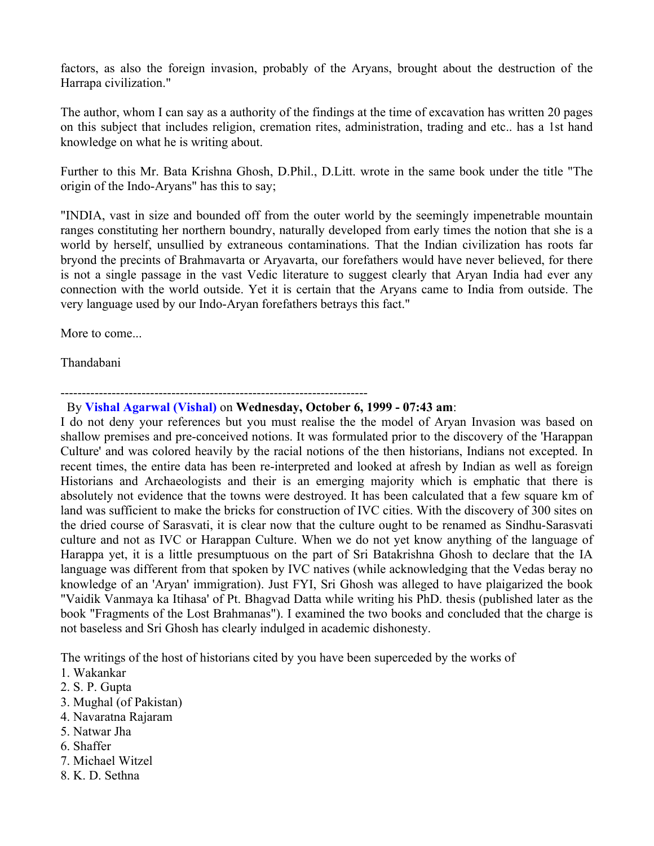factors, as also the foreign invasion, probably of the Aryans, brought about the destruction of the Harrapa civilization."

The author, whom I can say as a authority of the findings at the time of excavation has written 20 pages on this subject that includes religion, cremation rites, administration, trading and etc.. has a 1st hand knowledge on what he is writing about.

Further to this Mr. Bata Krishna Ghosh, D.Phil., D.Litt. wrote in the same book under the title "The origin of the Indo-Aryans" has this to say;

"INDIA, vast in size and bounded off from the outer world by the seemingly impenetrable mountain ranges constituting her northern boundry, naturally developed from early times the notion that she is a world by herself, unsullied by extraneous contaminations. That the Indian civilization has roots far bryond the precints of Brahmavarta or Aryavarta, our forefathers would have never believed, for there is not a single passage in the vast Vedic literature to suggest clearly that Aryan India had ever any connection with the world outside. Yet it is certain that the Aryans came to India from outside. The very language used by our Indo-Aryan forefathers betrays this fact."

More to come...

Thandabani

#### ------------------------------------------------------------------------

#### By **Vishal Agarwal (Vishal)** on **Wednesday, October 6, 1999 - 07:43 am**:

I do not deny your references but you must realise the the model of Aryan Invasion was based on shallow premises and pre-conceived notions. It was formulated prior to the discovery of the 'Harappan Culture' and was colored heavily by the racial notions of the then historians, Indians not excepted. In recent times, the entire data has been re-interpreted and looked at afresh by Indian as well as foreign Historians and Archaeologists and their is an emerging majority which is emphatic that there is absolutely not evidence that the towns were destroyed. It has been calculated that a few square km of land was sufficient to make the bricks for construction of IVC cities. With the discovery of 300 sites on the dried course of Sarasvati, it is clear now that the culture ought to be renamed as Sindhu-Sarasvati culture and not as IVC or Harappan Culture. When we do not yet know anything of the language of Harappa yet, it is a little presumptuous on the part of Sri Batakrishna Ghosh to declare that the IA language was different from that spoken by IVC natives (while acknowledging that the Vedas beray no knowledge of an 'Aryan' immigration). Just FYI, Sri Ghosh was alleged to have plaigarized the book "Vaidik Vanmaya ka Itihasa' of Pt. Bhagvad Datta while writing his PhD. thesis (published later as the book "Fragments of the Lost Brahmanas"). I examined the two books and concluded that the charge is not baseless and Sri Ghosh has clearly indulged in academic dishonesty.

The writings of the host of historians cited by you have been superceded by the works of

- 1. Wakankar
- 2. S. P. Gupta
- 3. Mughal (of Pakistan)
- 4. Navaratna Rajaram
- 5. Natwar Jha
- 6. Shaffer
- 7. Michael Witzel
- 8. K. D. Sethna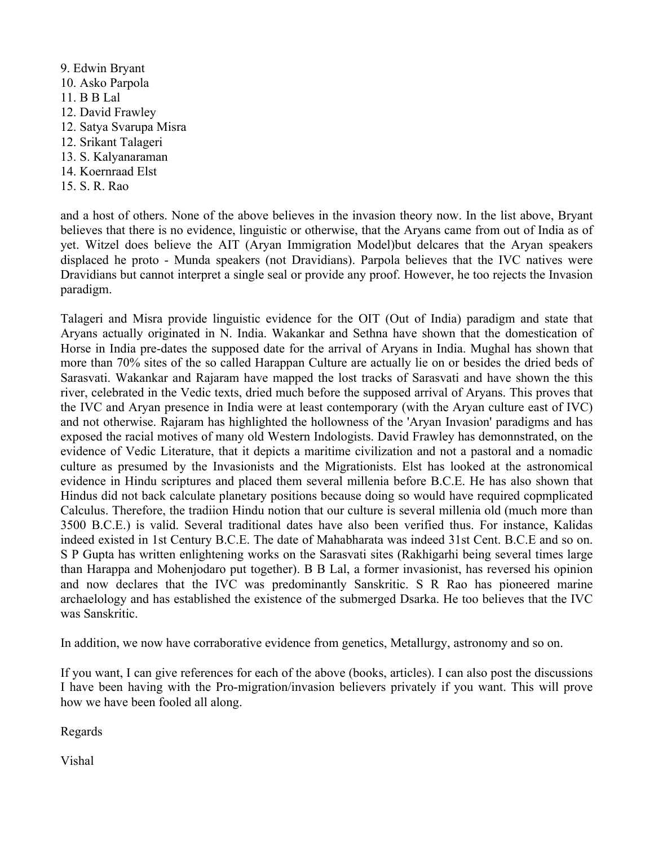9. Edwin Bryant 10. Asko Parpola 11. B B Lal 12. David Frawley 12. Satya Svarupa Misra 12. Srikant Talageri 13. S. Kalyanaraman 14. Koernraad Elst 15. S. R. Rao

and a host of others. None of the above believes in the invasion theory now. In the list above, Bryant believes that there is no evidence, linguistic or otherwise, that the Aryans came from out of India as of yet. Witzel does believe the AIT (Aryan Immigration Model)but delcares that the Aryan speakers displaced he proto - Munda speakers (not Dravidians). Parpola believes that the IVC natives were Dravidians but cannot interpret a single seal or provide any proof. However, he too rejects the Invasion paradigm.

Talageri and Misra provide linguistic evidence for the OIT (Out of India) paradigm and state that Aryans actually originated in N. India. Wakankar and Sethna have shown that the domestication of Horse in India pre-dates the supposed date for the arrival of Aryans in India. Mughal has shown that more than 70% sites of the so called Harappan Culture are actually lie on or besides the dried beds of Sarasvati. Wakankar and Rajaram have mapped the lost tracks of Sarasvati and have shown the this river, celebrated in the Vedic texts, dried much before the supposed arrival of Aryans. This proves that the IVC and Aryan presence in India were at least contemporary (with the Aryan culture east of IVC) and not otherwise. Rajaram has highlighted the hollowness of the 'Aryan Invasion' paradigms and has exposed the racial motives of many old Western Indologists. David Frawley has demonnstrated, on the evidence of Vedic Literature, that it depicts a maritime civilization and not a pastoral and a nomadic culture as presumed by the Invasionists and the Migrationists. Elst has looked at the astronomical evidence in Hindu scriptures and placed them several millenia before B.C.E. He has also shown that Hindus did not back calculate planetary positions because doing so would have required copmplicated Calculus. Therefore, the tradiion Hindu notion that our culture is several millenia old (much more than 3500 B.C.E.) is valid. Several traditional dates have also been verified thus. For instance, Kalidas indeed existed in 1st Century B.C.E. The date of Mahabharata was indeed 31st Cent. B.C.E and so on. S P Gupta has written enlightening works on the Sarasvati sites (Rakhigarhi being several times large than Harappa and Mohenjodaro put together). B B Lal, a former invasionist, has reversed his opinion and now declares that the IVC was predominantly Sanskritic. S R Rao has pioneered marine archaelology and has established the existence of the submerged Dsarka. He too believes that the IVC was Sanskritic.

In addition, we now have corraborative evidence from genetics, Metallurgy, astronomy and so on.

If you want, I can give references for each of the above (books, articles). I can also post the discussions I have been having with the Pro-migration/invasion believers privately if you want. This will prove how we have been fooled all along.

Regards

Vishal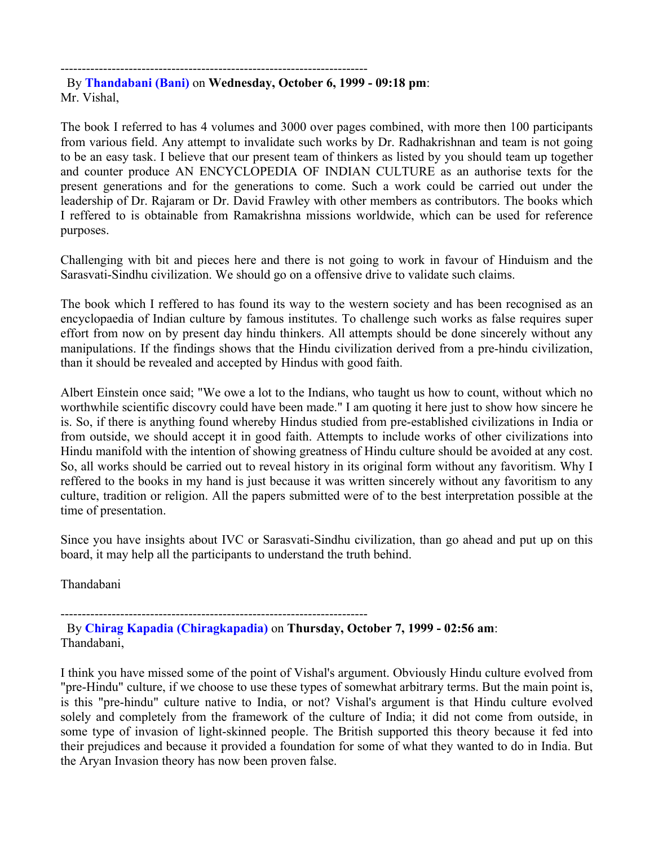------------------------------------------------------------------------

 By **Thandabani (Bani)** on **Wednesday, October 6, 1999 - 09:18 pm**: Mr. Vishal,

The book I referred to has 4 volumes and 3000 over pages combined, with more then 100 participants from various field. Any attempt to invalidate such works by Dr. Radhakrishnan and team is not going to be an easy task. I believe that our present team of thinkers as listed by you should team up together and counter produce AN ENCYCLOPEDIA OF INDIAN CULTURE as an authorise texts for the present generations and for the generations to come. Such a work could be carried out under the leadership of Dr. Rajaram or Dr. David Frawley with other members as contributors. The books which I reffered to is obtainable from Ramakrishna missions worldwide, which can be used for reference purposes.

Challenging with bit and pieces here and there is not going to work in favour of Hinduism and the Sarasvati-Sindhu civilization. We should go on a offensive drive to validate such claims.

The book which I reffered to has found its way to the western society and has been recognised as an encyclopaedia of Indian culture by famous institutes. To challenge such works as false requires super effort from now on by present day hindu thinkers. All attempts should be done sincerely without any manipulations. If the findings shows that the Hindu civilization derived from a pre-hindu civilization, than it should be revealed and accepted by Hindus with good faith.

Albert Einstein once said; "We owe a lot to the Indians, who taught us how to count, without which no worthwhile scientific discovry could have been made." I am quoting it here just to show how sincere he is. So, if there is anything found whereby Hindus studied from pre-established civilizations in India or from outside, we should accept it in good faith. Attempts to include works of other civilizations into Hindu manifold with the intention of showing greatness of Hindu culture should be avoided at any cost. So, all works should be carried out to reveal history in its original form without any favoritism. Why I reffered to the books in my hand is just because it was written sincerely without any favoritism to any culture, tradition or religion. All the papers submitted were of to the best interpretation possible at the time of presentation.

Since you have insights about IVC or Sarasvati-Sindhu civilization, than go ahead and put up on this board, it may help all the participants to understand the truth behind.

Thandabani

------------------------------------------------------------------------

 By **Chirag Kapadia (Chiragkapadia)** on **Thursday, October 7, 1999 - 02:56 am**: Thandabani,

I think you have missed some of the point of Vishal's argument. Obviously Hindu culture evolved from "pre-Hindu" culture, if we choose to use these types of somewhat arbitrary terms. But the main point is, is this "pre-hindu" culture native to India, or not? Vishal's argument is that Hindu culture evolved solely and completely from the framework of the culture of India; it did not come from outside, in some type of invasion of light-skinned people. The British supported this theory because it fed into their prejudices and because it provided a foundation for some of what they wanted to do in India. But the Aryan Invasion theory has now been proven false.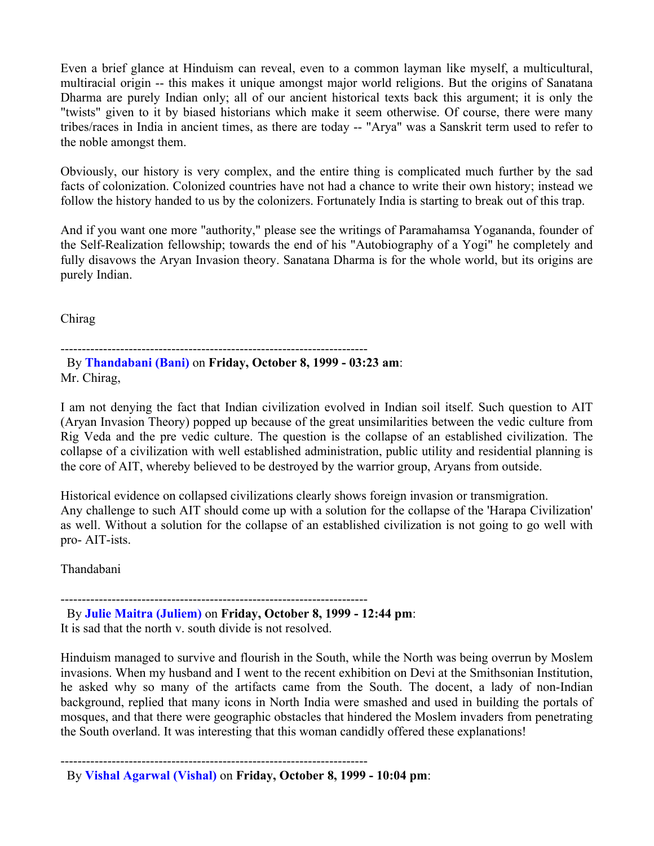Even a brief glance at Hinduism can reveal, even to a common layman like myself, a multicultural, multiracial origin -- this makes it unique amongst major world religions. But the origins of Sanatana Dharma are purely Indian only; all of our ancient historical texts back this argument; it is only the "twists" given to it by biased historians which make it seem otherwise. Of course, there were many tribes/races in India in ancient times, as there are today -- "Arya" was a Sanskrit term used to refer to the noble amongst them.

Obviously, our history is very complex, and the entire thing is complicated much further by the sad facts of colonization. Colonized countries have not had a chance to write their own history; instead we follow the history handed to us by the colonizers. Fortunately India is starting to break out of this trap.

And if you want one more "authority," please see the writings of Paramahamsa Yogananda, founder of the Self-Realization fellowship; towards the end of his "Autobiography of a Yogi" he completely and fully disavows the Aryan Invasion theory. Sanatana Dharma is for the whole world, but its origins are purely Indian.

Chirag

------------------------------------------------------------------------

 By **Thandabani (Bani)** on **Friday, October 8, 1999 - 03:23 am**: Mr. Chirag,

I am not denying the fact that Indian civilization evolved in Indian soil itself. Such question to AIT (Aryan Invasion Theory) popped up because of the great unsimilarities between the vedic culture from Rig Veda and the pre vedic culture. The question is the collapse of an established civilization. The collapse of a civilization with well established administration, public utility and residential planning is the core of AIT, whereby believed to be destroyed by the warrior group, Aryans from outside.

Historical evidence on collapsed civilizations clearly shows foreign invasion or transmigration. Any challenge to such AIT should come up with a solution for the collapse of the 'Harapa Civilization' as well. Without a solution for the collapse of an established civilization is not going to go well with pro- AIT-ists.

Thandabani

------------------------------------------------------------------------ By **Julie Maitra (Juliem)** on **Friday, October 8, 1999 - 12:44 pm**: It is sad that the north v. south divide is not resolved.

Hinduism managed to survive and flourish in the South, while the North was being overrun by Moslem invasions. When my husband and I went to the recent exhibition on Devi at the Smithsonian Institution, he asked why so many of the artifacts came from the South. The docent, a lady of non-Indian background, replied that many icons in North India were smashed and used in building the portals of mosques, and that there were geographic obstacles that hindered the Moslem invaders from penetrating the South overland. It was interesting that this woman candidly offered these explanations!

------------------------------------------------------------------------

By **Vishal Agarwal (Vishal)** on **Friday, October 8, 1999 - 10:04 pm**: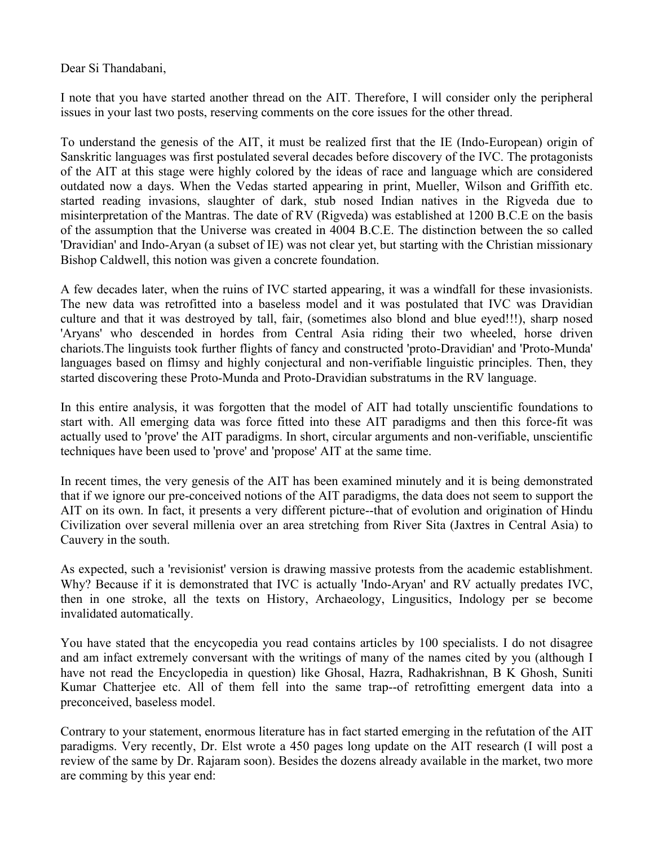Dear Si Thandabani,

I note that you have started another thread on the AIT. Therefore, I will consider only the peripheral issues in your last two posts, reserving comments on the core issues for the other thread.

To understand the genesis of the AIT, it must be realized first that the IE (Indo-European) origin of Sanskritic languages was first postulated several decades before discovery of the IVC. The protagonists of the AIT at this stage were highly colored by the ideas of race and language which are considered outdated now a days. When the Vedas started appearing in print, Mueller, Wilson and Griffith etc. started reading invasions, slaughter of dark, stub nosed Indian natives in the Rigveda due to misinterpretation of the Mantras. The date of RV (Rigveda) was established at 1200 B.C.E on the basis of the assumption that the Universe was created in 4004 B.C.E. The distinction between the so called 'Dravidian' and Indo-Aryan (a subset of IE) was not clear yet, but starting with the Christian missionary Bishop Caldwell, this notion was given a concrete foundation.

A few decades later, when the ruins of IVC started appearing, it was a windfall for these invasionists. The new data was retrofitted into a baseless model and it was postulated that IVC was Dravidian culture and that it was destroyed by tall, fair, (sometimes also blond and blue eyed!!!), sharp nosed 'Aryans' who descended in hordes from Central Asia riding their two wheeled, horse driven chariots.The linguists took further flights of fancy and constructed 'proto-Dravidian' and 'Proto-Munda' languages based on flimsy and highly conjectural and non-verifiable linguistic principles. Then, they started discovering these Proto-Munda and Proto-Dravidian substratums in the RV language.

In this entire analysis, it was forgotten that the model of AIT had totally unscientific foundations to start with. All emerging data was force fitted into these AIT paradigms and then this force-fit was actually used to 'prove' the AIT paradigms. In short, circular arguments and non-verifiable, unscientific techniques have been used to 'prove' and 'propose' AIT at the same time.

In recent times, the very genesis of the AIT has been examined minutely and it is being demonstrated that if we ignore our pre-conceived notions of the AIT paradigms, the data does not seem to support the AIT on its own. In fact, it presents a very different picture--that of evolution and origination of Hindu Civilization over several millenia over an area stretching from River Sita (Jaxtres in Central Asia) to Cauvery in the south.

As expected, such a 'revisionist' version is drawing massive protests from the academic establishment. Why? Because if it is demonstrated that IVC is actually 'Indo-Aryan' and RV actually predates IVC, then in one stroke, all the texts on History, Archaeology, Lingusitics, Indology per se become invalidated automatically.

You have stated that the encycopedia you read contains articles by 100 specialists. I do not disagree and am infact extremely conversant with the writings of many of the names cited by you (although I have not read the Encyclopedia in question) like Ghosal, Hazra, Radhakrishnan, B K Ghosh, Suniti Kumar Chatterjee etc. All of them fell into the same trap--of retrofitting emergent data into a preconceived, baseless model.

Contrary to your statement, enormous literature has in fact started emerging in the refutation of the AIT paradigms. Very recently, Dr. Elst wrote a 450 pages long update on the AIT research (I will post a review of the same by Dr. Rajaram soon). Besides the dozens already available in the market, two more are comming by this year end: